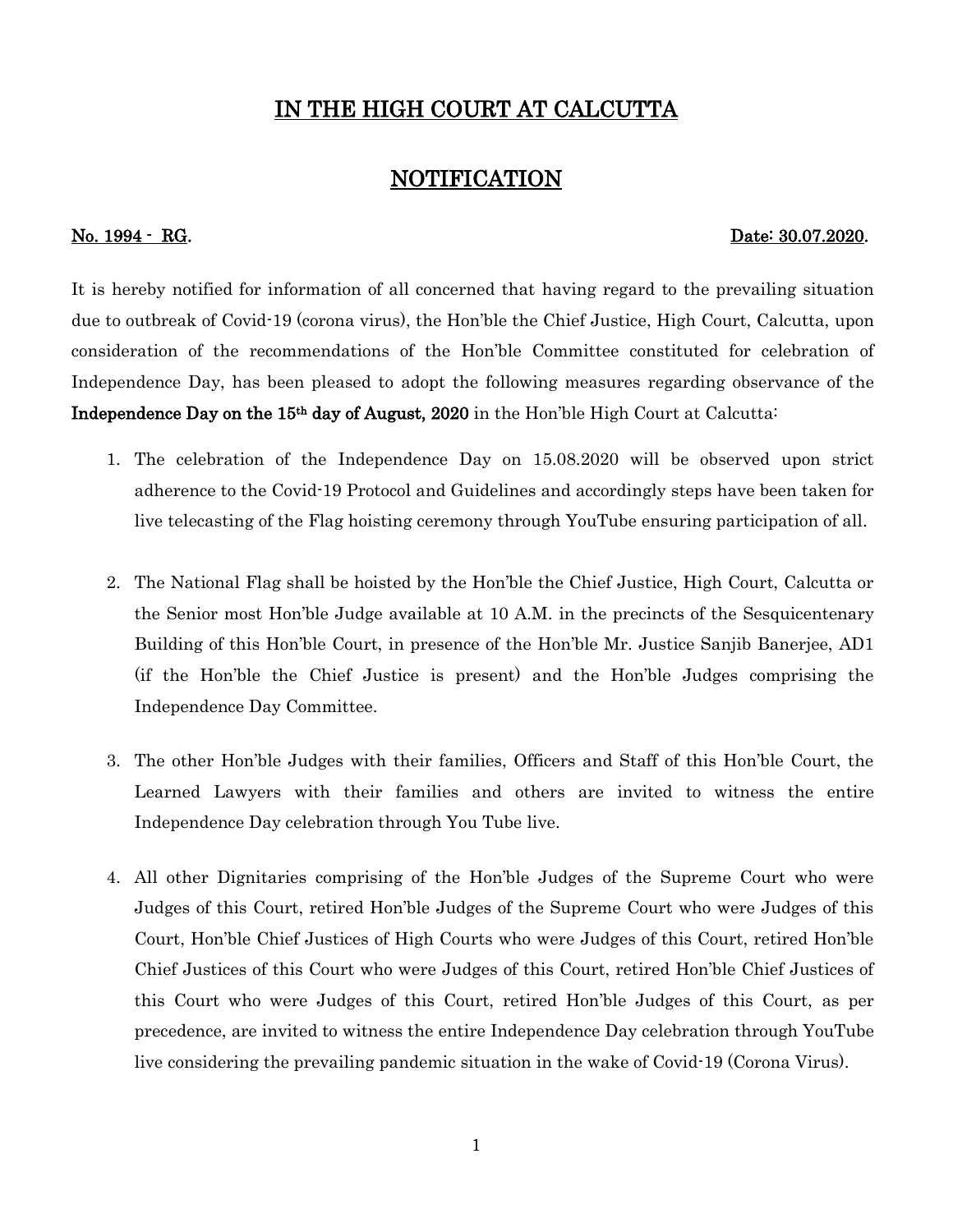## IN THE HIGH COURT AT CALCUTTA

## NOTIFICATION

## No. 1994 - RG. 2007.2020.

It is hereby notified for information of all concerned that having regard to the prevailing situation due to outbreak of Covid-19 (corona virus), the Hon'ble the Chief Justice, High Court, Calcutta, upon consideration of the recommendations of the Hon'ble Committee constituted for celebration of Independence Day, has been pleased to adopt the following measures regarding observance of the Independence Day on the 15th day of August, 2020 in the Hon'ble High Court at Calcutta:

- 1. The celebration of the Independence Day on 15.08.2020 will be observed upon strict adherence to the Covid-19 Protocol and Guidelines and accordingly steps have been taken for live telecasting of the Flag hoisting ceremony through YouTube ensuring participation of all.
- 2. The National Flag shall be hoisted by the Hon'ble the Chief Justice, High Court, Calcutta or the Senior most Hon'ble Judge available at 10 A.M. in the precincts of the Sesquicentenary Building of this Hon'ble Court, in presence of the Hon'ble Mr. Justice Sanjib Banerjee, AD1 (if the Hon'ble the Chief Justice is present) and the Hon'ble Judges comprising the Independence Day Committee.
- 3. The other Hon'ble Judges with their families, Officers and Staff of this Hon'ble Court, the Learned Lawyers with their families and others are invited to witness the entire Independence Day celebration through You Tube live.
- 4. All other Dignitaries comprising of the Hon'ble Judges of the Supreme Court who were Judges of this Court, retired Hon'ble Judges of the Supreme Court who were Judges of this Court, Hon'ble Chief Justices of High Courts who were Judges of this Court, retired Hon'ble Chief Justices of this Court who were Judges of this Court, retired Hon'ble Chief Justices of this Court who were Judges of this Court, retired Hon'ble Judges of this Court, as per precedence, are invited to witness the entire Independence Day celebration through YouTube live considering the prevailing pandemic situation in the wake of Covid-19 (Corona Virus).